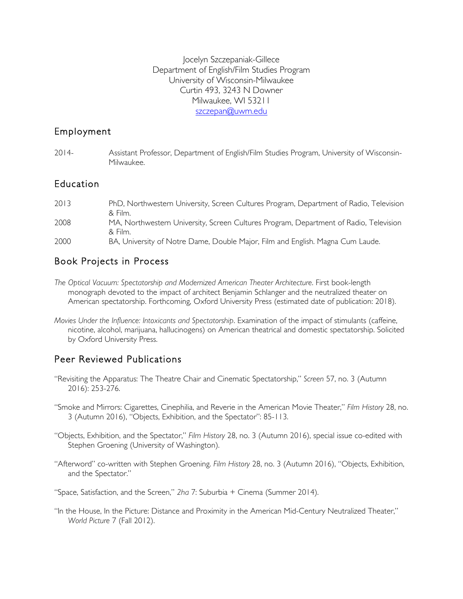Jocelyn Szczepaniak-Gillece Department of English/Film Studies Program University of Wisconsin-Milwaukee Curtin 493, 3243 N Downer Milwaukee, WI 53211 szczepan@uwm.edu

#### Employment

| $2014-$ | Assistant Professor, Department of English/Film Studies Program, University of Wisconsin- |
|---------|-------------------------------------------------------------------------------------------|
|         | Milwaukee.                                                                                |

#### Education

| 2013 | PhD, Northwestern University, Screen Cultures Program, Department of Radio, Television |
|------|----------------------------------------------------------------------------------------|
|      | & Film.                                                                                |
| 2008 | MA, Northwestern University, Screen Cultures Program, Department of Radio, Television  |
|      | & Film.                                                                                |
| 2000 | BA, University of Notre Dame, Double Major, Film and English. Magna Cum Laude.         |

## Book Projects in Process

- *The Optical Vacuum: Spectatorship and Modernized American Theater Architecture*. First book-length monograph devoted to the impact of architect Benjamin Schlanger and the neutralized theater on American spectatorship. Forthcoming, Oxford University Press (estimated date of publication: 2018).
- *Movies Under the Influence: Intoxicants and Spectatorship*. Examination of the impact of stimulants (caffeine, nicotine, alcohol, marijuana, hallucinogens) on American theatrical and domestic spectatorship. Solicited by Oxford University Press.

# Peer Reviewed Publications

- "Revisiting the Apparatus: The Theatre Chair and Cinematic Spectatorship," *Screen* 57, no. 3 (Autumn 2016): 253-276.
- "Smoke and Mirrors: Cigarettes, Cinephilia, and Reverie in the American Movie Theater," *Film History* 28, no. 3 (Autumn 2016), "Objects, Exhibition, and the Spectator": 85-113.
- "Objects, Exhibition, and the Spectator," *Film History* 28, no. 3 (Autumn 2016), special issue co-edited with Stephen Groening (University of Washington).
- "Afterword" co-written with Stephen Groening. *Film History* 28, no. 3 (Autumn 2016), "Objects, Exhibition, and the Spectator."

"Space, Satisfaction, and the Screen," *2ha* 7: Suburbia + Cinema (Summer 2014).

"In the House, In the Picture: Distance and Proximity in the American Mid-Century Neutralized Theater," *World Picture* 7 (Fall 2012).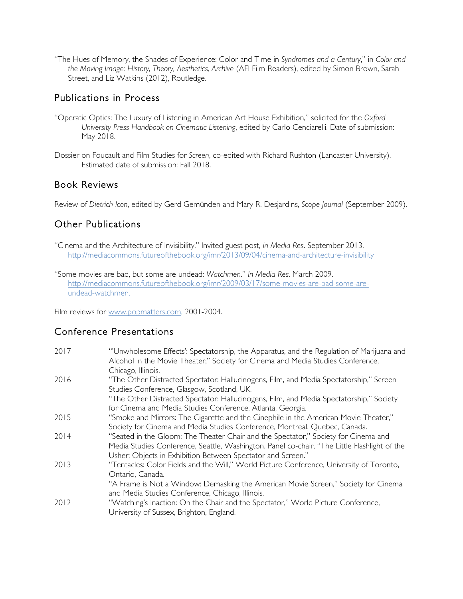"The Hues of Memory, the Shades of Experience: Color and Time in *Syndromes and a Century*," in *Color and the Moving Image: History, Theory, Aesthetics, Archive* (AFI Film Readers), edited by Simon Brown, Sarah Street, and Liz Watkins (2012), Routledge.

## Publications in Process

- "Operatic Optics: The Luxury of Listening in American Art House Exhibition," solicited for the *Oxford University Press Handbook on Cinematic Listening*, edited by Carlo Cenciarelli. Date of submission: May 2018.
- Dossier on Foucault and Film Studies for *Screen*, co-edited with Richard Rushton (Lancaster University). Estimated date of submission: Fall 2018.

## Book Reviews

Review of *Dietrich Icon*, edited by Gerd Gemünden and Mary R. Desjardins, *Scope Journal* (September 2009).

# Other Publications

"Cinema and the Architecture of Invisibility." Invited guest post, *In Media Res*. September 2013. http://mediacommons.futureofthebook.org/imr/2013/09/04/cinema-and-architecture-invisibility

"Some movies are bad, but some are undead: *Watchmen*." *In Media Res*. March 2009. http://mediacommons.futureofthebook.org/imr/2009/03/17/some-movies-are-bad-some-areundead-watchmen.

Film reviews for www.popmatters.com, 2001-2004.

# Conference Presentations

| "'Unwholesome Effects': Spectatorship, the Apparatus, and the Regulation of Marijuana and<br>Alcohol in the Movie Theater," Society for Cinema and Media Studies Conference, |
|------------------------------------------------------------------------------------------------------------------------------------------------------------------------------|
| Chicago, Illinois.                                                                                                                                                           |
| "The Other Distracted Spectator: Hallucinogens, Film, and Media Spectatorship," Screen                                                                                       |
| Studies Conference, Glasgow, Scotland, UK.                                                                                                                                   |
| "The Other Distracted Spectator: Hallucinogens, Film, and Media Spectatorship," Society                                                                                      |
| for Cinema and Media Studies Conference, Atlanta, Georgia.                                                                                                                   |
| "Smoke and Mirrors: The Cigarette and the Cinephile in the American Movie Theater,"                                                                                          |
| Society for Cinema and Media Studies Conference, Montreal, Quebec, Canada.                                                                                                   |
| "Seated in the Gloom: The Theater Chair and the Spectator," Society for Cinema and                                                                                           |
| Media Studies Conference, Seattle, Washington. Panel co-chair, "The Little Flashlight of the                                                                                 |
| Usher: Objects in Exhibition Between Spectator and Screen."                                                                                                                  |
| "Tentacles: Color Fields and the Will," World Picture Conference, University of Toronto,                                                                                     |
| Ontario, Canada.                                                                                                                                                             |
| "A Frame is Not a Window: Demasking the American Movie Screen," Society for Cinema                                                                                           |
| and Media Studies Conference, Chicago, Illinois.                                                                                                                             |
| "Watching's Inaction: On the Chair and the Spectator," World Picture Conference,                                                                                             |
| University of Sussex, Brighton, England.                                                                                                                                     |
|                                                                                                                                                                              |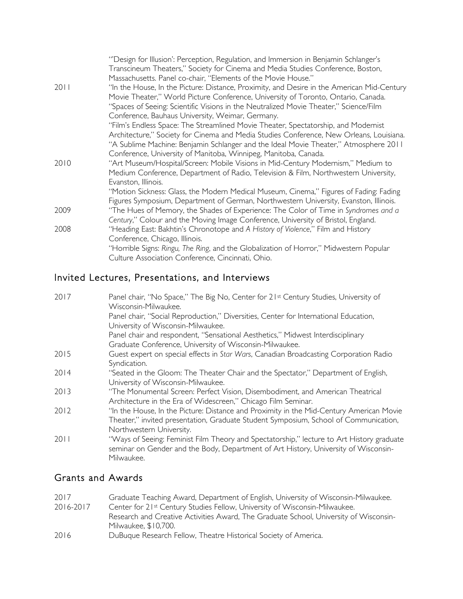|      | "Design for Illusion': Perception, Regulation, and Immersion in Benjamin Schlanger's<br>Transcineum Theaters," Society for Cinema and Media Studies Conference, Boston,         |
|------|---------------------------------------------------------------------------------------------------------------------------------------------------------------------------------|
|      | Massachusetts. Panel co-chair, "Elements of the Movie House."                                                                                                                   |
| 2011 | "In the House, In the Picture: Distance, Proximity, and Desire in the American Mid-Century<br>Movie Theater," World Picture Conference, University of Toronto, Ontario, Canada. |
|      | "Spaces of Seeing: Scientific Visions in the Neutralized Movie Theater," Science/Film                                                                                           |
|      | Conference, Bauhaus University, Weimar, Germany.                                                                                                                                |
|      | "Film's Endless Space: The Streamlined Movie Theater, Spectatorship, and Modernist                                                                                              |
|      | Architecture," Society for Cinema and Media Studies Conference, New Orleans, Louisiana.<br>"A Sublime Machine: Benjamin Schlanger and the Ideal Movie Theater," Atmosphere 2011 |
|      | Conference, University of Manitoba, Winnipeg, Manitoba, Canada.                                                                                                                 |
| 2010 | "Art Museum/Hospital/Screen: Mobile Visions in Mid-Century Modernism," Medium to                                                                                                |
|      | Medium Conference, Department of Radio, Television & Film, Northwestern University,                                                                                             |
|      | Evanston, Illinois.                                                                                                                                                             |
|      | "Motion Sickness: Glass, the Modern Medical Museum, Cinema," Figures of Fading: Fading                                                                                          |
|      | Figures Symposium, Department of German, Northwestern University, Evanston, Illinois.                                                                                           |
| 2009 | "The Hues of Memory, the Shades of Experience: The Color of Time in Syndromes and a                                                                                             |
|      | Century," Colour and the Moving Image Conference, University of Bristol, England.                                                                                               |
| 2008 | "Heading East: Bakhtin's Chronotope and A History of Violence," Film and History                                                                                                |
|      | Conference, Chicago, Illinois.                                                                                                                                                  |
|      | "Horrible Signs: Ringu, The Ring, and the Globalization of Horror," Midwestern Popular<br>Culture Association Conference, Cincinnati, Ohio.                                     |
|      |                                                                                                                                                                                 |

# Invited Lectures, Presentations, and Interviews

| 2017 | Panel chair, "No Space," The Big No, Center for 21st Century Studies, University of<br>Wisconsin-Milwaukee.                                                                     |
|------|---------------------------------------------------------------------------------------------------------------------------------------------------------------------------------|
|      | Panel chair, "Social Reproduction," Diversities, Center for International Education,                                                                                            |
|      | University of Wisconsin-Milwaukee.<br>Panel chair and respondent, "Sensational Aesthetics," Midwest Interdisciplinary                                                           |
|      | Graduate Conference, University of Wisconsin-Milwaukee.                                                                                                                         |
| 2015 | Guest expert on special effects in Star Wars, Canadian Broadcasting Corporation Radio<br>Syndication.                                                                           |
| 2014 | "Seated in the Gloom: The Theater Chair and the Spectator," Department of English,<br>University of Wisconsin-Milwaukee.                                                        |
| 2013 | "The Monumental Screen: Perfect Vision, Disembodiment, and American Theatrical<br>Architecture in the Era of Widescreen," Chicago Film Seminar.                                 |
| 2012 | "In the House, In the Picture: Distance and Proximity in the Mid-Century American Movie<br>Theater," invited presentation, Graduate Student Symposium, School of Communication, |
| 2011 | Northwestern University.<br>"Ways of Seeing: Feminist Film Theory and Spectatorship," lecture to Art History graduate                                                           |
|      | seminar on Gender and the Body, Department of Art History, University of Wisconsin-<br>Milwaukee.                                                                               |

# Grants and Awards

| 2017      | Graduate Teaching Award, Department of English, University of Wisconsin-Milwaukee.    |
|-----------|---------------------------------------------------------------------------------------|
| 2016-2017 | Center for 21st Century Studies Fellow, University of Wisconsin-Milwaukee.            |
|           | Research and Creative Activities Award, The Graduate School, University of Wisconsin- |
|           | Milwaukee, \$10.700.                                                                  |
| 2016      | DuBuque Research Fellow, Theatre Historical Society of America.                       |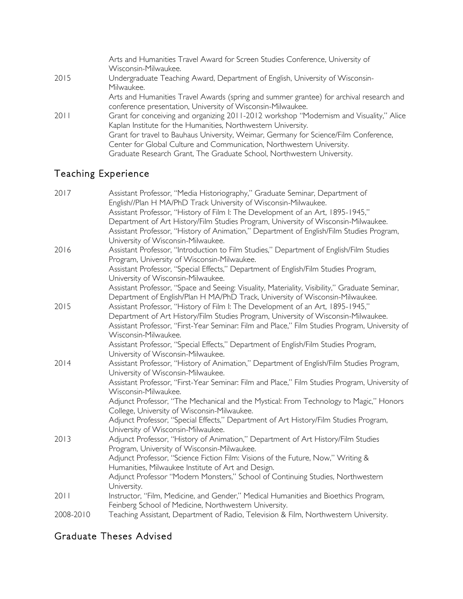|      | Arts and Humanities Travel Award for Screen Studies Conference, University of<br>Wisconsin-Milwaukee. |
|------|-------------------------------------------------------------------------------------------------------|
| 2015 | Undergraduate Teaching Award, Department of English, University of Wisconsin-<br>Milwaukee.           |
|      | Arts and Humanities Travel Awards (spring and summer grantee) for archival research and               |
|      | conference presentation, University of Wisconsin-Milwaukee.                                           |
| 2011 | Grant for conceiving and organizing 2011-2012 workshop "Modernism and Visuality," Alice               |
|      | Kaplan Institute for the Humanities, Northwestern University.                                         |
|      | Grant for travel to Bauhaus University, Weimar, Germany for Science/Film Conference,                  |
|      | Center for Global Culture and Communication, Northwestern University.                                 |
|      | Graduate Research Grant, The Graduate School, Northwestern University.                                |

# Teaching Experience

| 2017      | Assistant Professor, "Media Historiography," Graduate Seminar, Department of                                                   |
|-----------|--------------------------------------------------------------------------------------------------------------------------------|
|           | English//Plan H MA/PhD Track University of Wisconsin-Milwaukee.                                                                |
|           | Assistant Professor, "History of Film I: The Development of an Art, 1895-1945,"                                                |
|           | Department of Art History/Film Studies Program, University of Wisconsin-Milwaukee.                                             |
|           | Assistant Professor, "History of Animation," Department of English/Film Studies Program,<br>University of Wisconsin-Milwaukee. |
| 2016      | Assistant Professor, "Introduction to Film Studies," Department of English/Film Studies                                        |
|           | Program, University of Wisconsin-Milwaukee.                                                                                    |
|           | Assistant Professor, "Special Effects," Department of English/Film Studies Program,                                            |
|           | University of Wisconsin-Milwaukee.                                                                                             |
|           | Assistant Professor, "Space and Seeing: Visuality, Materiality, Visibility," Graduate Seminar,                                 |
|           | Department of English/Plan H MA/PhD Track, University of Wisconsin-Milwaukee.                                                  |
| 2015      | Assistant Professor, "History of Film I: The Development of an Art, 1895-1945,"                                                |
|           | Department of Art History/Film Studies Program, University of Wisconsin-Milwaukee.                                             |
|           | Assistant Professor, "First-Year Seminar: Film and Place," Film Studies Program, University of                                 |
|           | Wisconsin-Milwaukee.                                                                                                           |
|           | Assistant Professor, "Special Effects," Department of English/Film Studies Program,                                            |
|           | University of Wisconsin-Milwaukee.                                                                                             |
| 2014      | Assistant Professor, "History of Animation," Department of English/Film Studies Program,                                       |
|           | University of Wisconsin-Milwaukee.                                                                                             |
|           | Assistant Professor, "First-Year Seminar: Film and Place," Film Studies Program, University of                                 |
|           | Wisconsin-Milwaukee.                                                                                                           |
|           | Adjunct Professor, "The Mechanical and the Mystical: From Technology to Magic," Honors                                         |
|           | College, University of Wisconsin-Milwaukee.                                                                                    |
|           | Adjunct Professor, "Special Effects," Department of Art History/Film Studies Program,                                          |
|           | University of Wisconsin-Milwaukee.                                                                                             |
| 2013      | Adjunct Professor, "History of Animation," Department of Art History/Film Studies                                              |
|           | Program, University of Wisconsin-Milwaukee.                                                                                    |
|           | Adjunct Professor, "Science Fiction Film: Visions of the Future, Now," Writing &                                               |
|           | Humanities, Milwaukee Institute of Art and Design.                                                                             |
|           | Adjunct Professor "Modern Monsters," School of Continuing Studies, Northwestern                                                |
|           | University.                                                                                                                    |
| 2011      | Instructor, "Film, Medicine, and Gender," Medical Humanities and Bioethics Program,                                            |
|           | Feinberg School of Medicine, Northwestern University.                                                                          |
| 2008-2010 | Teaching Assistant, Department of Radio, Television & Film, Northwestern University.                                           |

## Graduate Theses Advised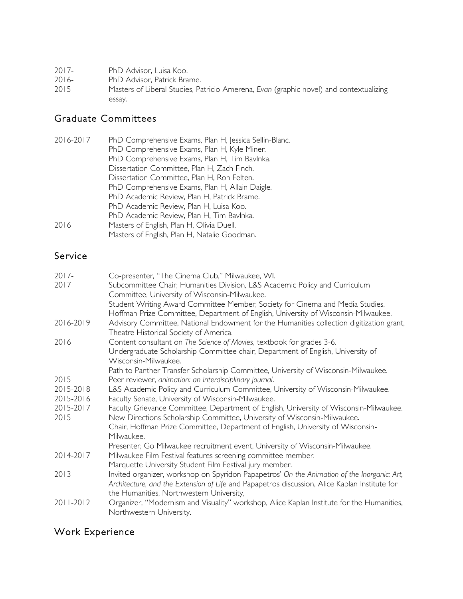| $2017 -$ | PhD Advisor, Luisa Koo. |
|----------|-------------------------|
|----------|-------------------------|

- 2016- PhD Advisor, Patrick Brame.<br>2015 Masters of Liberal Studies, Pa
- 2015 Masters of Liberal Studies, Patricio Amerena, *Evan* (graphic novel) and contextualizing essay.

# Graduate Committees

| 2016-2017 | PhD Comprehensive Exams, Plan H, Jessica Sellin-Blanc.<br>PhD Comprehensive Exams, Plan H, Kyle Miner.<br>PhD Comprehensive Exams, Plan H, Tim Bavlnka.<br>Dissertation Committee, Plan H, Zach Finch. |
|-----------|--------------------------------------------------------------------------------------------------------------------------------------------------------------------------------------------------------|
|           | Dissertation Committee, Plan H, Ron Felten.<br>PhD Comprehensive Exams, Plan H, Allain Daigle.<br>PhD Academic Review, Plan H, Patrick Brame.                                                          |
| 2016      | PhD Academic Review, Plan H, Luisa Koo.<br>PhD Academic Review, Plan H, Tim Bavlnka.<br>Masters of English, Plan H, Olivia Duell.<br>Masters of English, Plan H, Natalie Goodman.                      |

## Service

| $2017 -$<br>2017       | Co-presenter, "The Cinema Club," Milwaukee, Wl.<br>Subcommittee Chair, Humanities Division, L&S Academic Policy and Curriculum<br>Committee, University of Wisconsin-Milwaukee.<br>Student Writing Award Committee Member, Society for Cinema and Media Studies.<br>Hoffman Prize Committee, Department of English, University of Wisconsin-Milwaukee. |
|------------------------|--------------------------------------------------------------------------------------------------------------------------------------------------------------------------------------------------------------------------------------------------------------------------------------------------------------------------------------------------------|
| 2016-2019              | Advisory Committee, National Endowment for the Humanities collection digitization grant,<br>Theatre Historical Society of America.                                                                                                                                                                                                                     |
| 2016                   | Content consultant on The Science of Movies, textbook for grades 3-6.<br>Undergraduate Scholarship Committee chair, Department of English, University of<br>Wisconsin-Milwaukee.                                                                                                                                                                       |
| 2015                   | Path to Panther Transfer Scholarship Committee, University of Wisconsin-Milwaukee.<br>Peer reviewer, animation: an interdisciplinary journal.                                                                                                                                                                                                          |
| 2015-2018<br>2015-2016 | L&S Academic Policy and Curriculum Committee, University of Wisconsin-Milwaukee.<br>Faculty Senate, University of Wisconsin-Milwaukee.                                                                                                                                                                                                                 |
| 2015-2017<br>2015      | Faculty Grievance Committee, Department of English, University of Wisconsin-Milwaukee.<br>New Directions Scholarship Committee, University of Wisconsin-Milwaukee.<br>Chair, Hoffman Prize Committee, Department of English, University of Wisconsin-<br>Milwaukee.                                                                                    |
|                        | Presenter, Go Milwaukee recruitment event, University of Wisconsin-Milwaukee.                                                                                                                                                                                                                                                                          |
| 2014-2017              | Milwaukee Film Festival features screening committee member.<br>Marquette University Student Film Festival jury member.                                                                                                                                                                                                                                |
| 2013                   | Invited organizer, workshop on Spyridon Papapetros' On the Animation of the Inorganic: Art,<br>Architecture, and the Extension of Life and Papapetros discussion, Alice Kaplan Institute for<br>the Humanities, Northwestern University,                                                                                                               |
| 2011-2012              | Organizer, "Modernism and Visuality" workshop, Alice Kaplan Institute for the Humanities,<br>Northwestern University.                                                                                                                                                                                                                                  |

# Work Experience